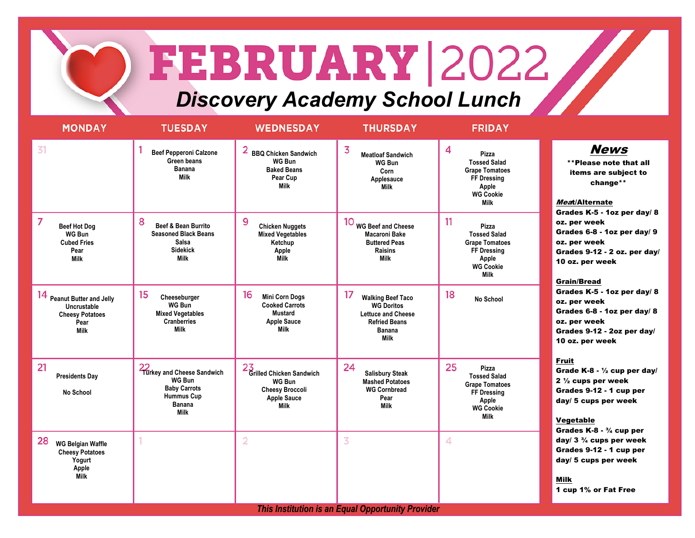## FEBRUARY 2022

*Discovery Academy School Lunch*

| <b>MONDAY</b>                                                                                       | <b>TUESDAY</b>                                                                                                         | <b>WEDNESDAY</b>                                                                                 | <b>THURSDAY</b>                                                                                                            | <b>FRIDAY</b>                                                                                                                 |                                                                                                                                                                                                                                                                                                                                                                                                                   |  |  |
|-----------------------------------------------------------------------------------------------------|------------------------------------------------------------------------------------------------------------------------|--------------------------------------------------------------------------------------------------|----------------------------------------------------------------------------------------------------------------------------|-------------------------------------------------------------------------------------------------------------------------------|-------------------------------------------------------------------------------------------------------------------------------------------------------------------------------------------------------------------------------------------------------------------------------------------------------------------------------------------------------------------------------------------------------------------|--|--|
| 31                                                                                                  | <b>Beef Pepperoni Calzone</b><br>Green beans<br>Banana<br>Milk                                                         | 2<br><b>BBQ Chicken Sandwich</b><br>WG Bun<br><b>Baked Beans</b><br>Pear Cup<br>Milk             | 3<br><b>Meatloaf Sandwich</b><br><b>WG Bun</b><br>Corn<br>Applesauce<br><b>Milk</b>                                        | 4<br>Pizza<br><b>Tossed Salad</b><br><b>Grape Tomatoes</b><br><b>FF Dressing</b><br>Apple<br><b>WG Cookie</b><br>Milk         | <b>News</b><br>**Please note that all<br>items are subject to<br>change**<br>Meat/Alternate<br>Grades K-5 - 1oz per day/ 8<br>oz. per week<br>Grades 6-8 - 1oz per day/ 9<br>oz. per week<br>Grades 9-12 - 2 oz. per day/<br>10 oz. per week<br><b>Grain/Bread</b><br>Grades K-5 - 1oz per day/ 8<br>oz. per week<br>Grades 6-8 - 1oz per day/ 8<br>oz. per week<br>Grades 9-12 - 2oz per day/<br>10 oz. per week |  |  |
| $\overline{7}$<br><b>Beef Hot Dog</b><br><b>WG Bun</b><br><b>Cubed Fries</b><br>Pear<br><b>Milk</b> | 8<br>Beef & Bean Burrito<br><b>Seasoned Black Beans</b><br>Salsa<br><b>Sidekick</b><br><b>Milk</b>                     | 9<br><b>Chicken Nuggets</b><br><b>Mixed Vegetables</b><br>Ketchup<br>Apple<br><b>Milk</b>        | 10 WG Beef and Cheese<br><b>Macaroni Bake</b><br><b>Buttered Peas</b><br><b>Raisins</b><br>Milk                            | 11<br>Pizza<br><b>Tossed Salad</b><br><b>Grape Tomatoes</b><br><b>FF Dressing</b><br>Apple<br><b>WG Cookie</b><br><b>Milk</b> |                                                                                                                                                                                                                                                                                                                                                                                                                   |  |  |
| 14 Peanut Butter and Jelly<br>Uncrustable<br><b>Cheesy Potatoes</b><br>Pear<br><b>Milk</b>          | 15<br>Cheeseburger<br>WG Bun<br><b>Mixed Vegetables</b><br><b>Cranberries</b><br>Milk                                  | 16<br><b>Mini Corn Dogs</b><br><b>Cooked Carrots</b><br>Mustard<br><b>Apple Sauce</b><br>Milk    | 17<br><b>Walking Beef Taco</b><br><b>WG Doritos</b><br><b>Lettuce and Cheese</b><br><b>Refried Beans</b><br>Banana<br>Milk | 18<br><b>No School</b>                                                                                                        |                                                                                                                                                                                                                                                                                                                                                                                                                   |  |  |
| 21<br><b>Presidents Day</b><br>No School                                                            | 22<br>Turkey and Cheese Sandwich<br>WG Bun<br><b>Baby Carrots</b><br><b>Hummus Cup</b><br><b>Banana</b><br><b>Milk</b> | 23<br>Grilled Chicken Sandwich<br>WG Bun<br><b>Cheesy Broccoli</b><br><b>Apple Sauce</b><br>Milk | 24<br><b>Salisbury Steak</b><br><b>Mashed Potatoes</b><br><b>WG Cornbread</b><br>Pear<br>Milk                              | 25<br>Pizza<br><b>Tossed Salad</b><br><b>Grape Tomatoes</b><br>FF Dressing<br>Apple<br><b>WG Cookie</b><br><b>Milk</b>        | <b>Fruit</b><br>Grade K-8 - $\frac{1}{2}$ cup per day/<br>$2\frac{1}{2}$ cups per week<br>Grades 9-12 - 1 cup per<br>day/ 5 cups per week<br>Vegetable<br>Grades $K-8 - \frac{3}{4}$ cup per                                                                                                                                                                                                                      |  |  |
| 28<br><b>WG Belgian Waffle</b><br><b>Cheesy Potatoes</b><br>Yogurt<br>Apple<br><b>Milk</b>          |                                                                                                                        | $\overline{2}$                                                                                   | $\overline{3}$                                                                                                             | 4                                                                                                                             | day/ $3\frac{3}{4}$ cups per week<br>Grades 9-12 - 1 cup per<br>day/ 5 cups per week<br>Milk<br>1 cup 1% or Fat Free                                                                                                                                                                                                                                                                                              |  |  |
| <b>This Institution is an Equal Opportunity Provider</b>                                            |                                                                                                                        |                                                                                                  |                                                                                                                            |                                                                                                                               |                                                                                                                                                                                                                                                                                                                                                                                                                   |  |  |